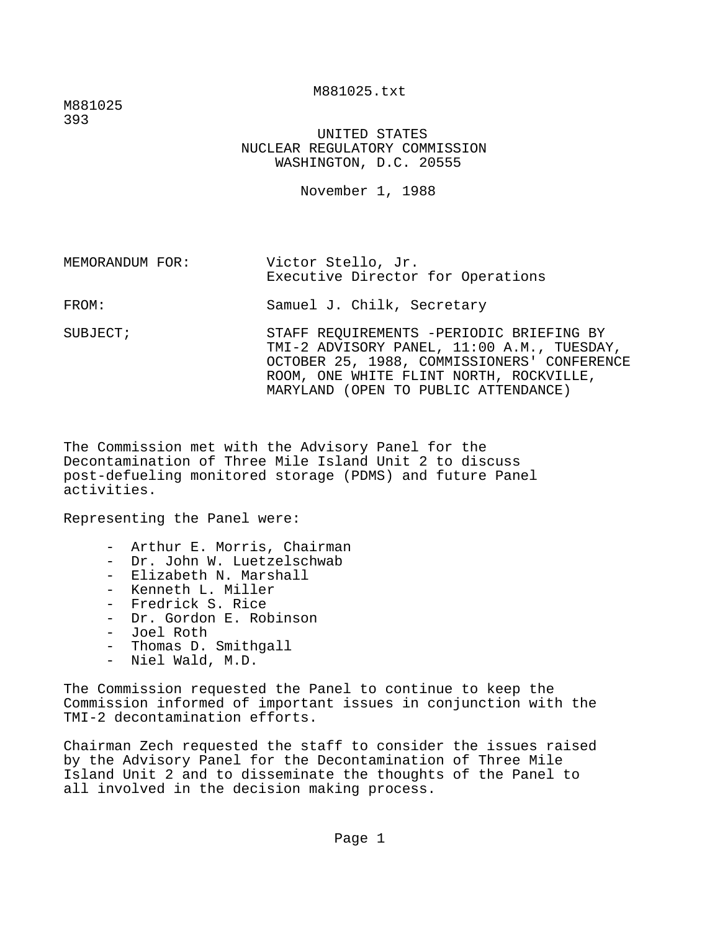M881025.txt

M881025 393

> UNITED STATES NUCLEAR REGULATORY COMMISSION WASHINGTON, D.C. 20555

> > November 1, 1988

MEMORANDUM FOR: Victor Stello, Jr. Executive Director for Operations

FROM: Samuel J. Chilk, Secretary

SUBJECT; STAFF REQUIREMENTS -PERIODIC BRIEFING BY TMI-2 ADVISORY PANEL, 11:00 A.M., TUESDAY, OCTOBER 25, 1988, COMMISSIONERS' CONFERENCE ROOM, ONE WHITE FLINT NORTH, ROCKVILLE, MARYLAND (OPEN TO PUBLIC ATTENDANCE)

The Commission met with the Advisory Panel for the Decontamination of Three Mile Island Unit 2 to discuss post-defueling monitored storage (PDMS) and future Panel activities.

Representing the Panel were:

- Arthur E. Morris, Chairman
- Dr. John W. Luetzelschwab
- Elizabeth N. Marshall
- Kenneth L. Miller
- Fredrick S. Rice
- Dr. Gordon E. Robinson
- Joel Roth
- Thomas D. Smithgall
- Niel Wald, M.D.

The Commission requested the Panel to continue to keep the Commission informed of important issues in conjunction with the TMI-2 decontamination efforts.

Chairman Zech requested the staff to consider the issues raised by the Advisory Panel for the Decontamination of Three Mile Island Unit 2 and to disseminate the thoughts of the Panel to all involved in the decision making process.